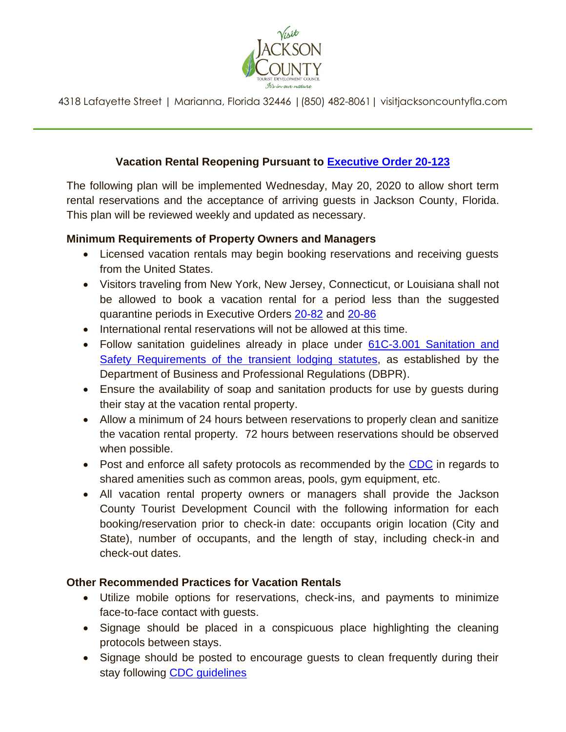

4318 Lafayette Street | Marianna, Florida 32446 |(850) 482-8061| [visitjacksoncountyfla.com](https://visitjacksoncountyfla.com)

# **Vacation Rental Reopening Pursuant to [Executive Order 20-123](https://www.flgov.com/wp-content/uploads/orders/2020/EO_20-123.pdf)**

The following plan will be implemented Wednesday, May 20, 2020 to allow short term rental reservations and the acceptance of arriving guests in Jackson County, Florida. This plan will be reviewed weekly and updated as necessary.

## **Minimum Requirements of Property Owners and Managers**

- Licensed vacation rentals may begin booking reservations and receiving guests from the United States.
- Visitors traveling from New York, New Jersey, Connecticut, or Louisiana shall not be allowed to book a vacation rental for a period less than the suggested quarantine periods in Executive Orders [20-82](https://www.flgov.com/wp-content/uploads/orders/2020/EO_20-82.pdf) and [20-86](https://www.flgov.com/wp-content/uploads/orders/2020/EO_20-86.pdf)
- International rental reservations will not be allowed at this time.
- Follow sanitation guidelines already in place under 61C-3.001 Sanitation and [Safety Requirements of the transient lodging statutes,](http://www.myfloridalicense.com/dbpr/hr/statutes/documents/61C-1348--Revised2017-5-16.pdf) as established by the Department of Business and Professional Regulations (DBPR).
- Ensure the availability of soap and sanitation products for use by guests during their stay at the vacation rental property.
- Allow a minimum of 24 hours between reservations to properly clean and sanitize the vacation rental property. 72 hours between reservations should be observed when possible.
- Post and enforce all safety protocols as recommended by the [CDC](https://www.cdc.gov/coronavirus/2019-ncov/community/shared-congregate-house/guidance-shared-congregate-housing.html) in regards to shared amenities such as common areas, pools, gym equipment, etc.
- All vacation rental property owners or managers shall provide the Jackson County Tourist Development Council with the following information for each booking/reservation prior to check-in date: occupants origin location (City and State), number of occupants, and the length of stay, including check-in and check-out dates.

## **Other Recommended Practices for Vacation Rentals**

- Utilize mobile options for reservations, check-ins, and payments to minimize face-to-face contact with guests.
- Signage should be placed in a conspicuous place highlighting the cleaning protocols between stays.
- Signage should be posted to encourage guests to clean frequently during their stay following [CDC guidelines](https://www.cdc.gov/coronavirus/2019-ncov/prevent-getting-sick/disinfecting-your-home.html)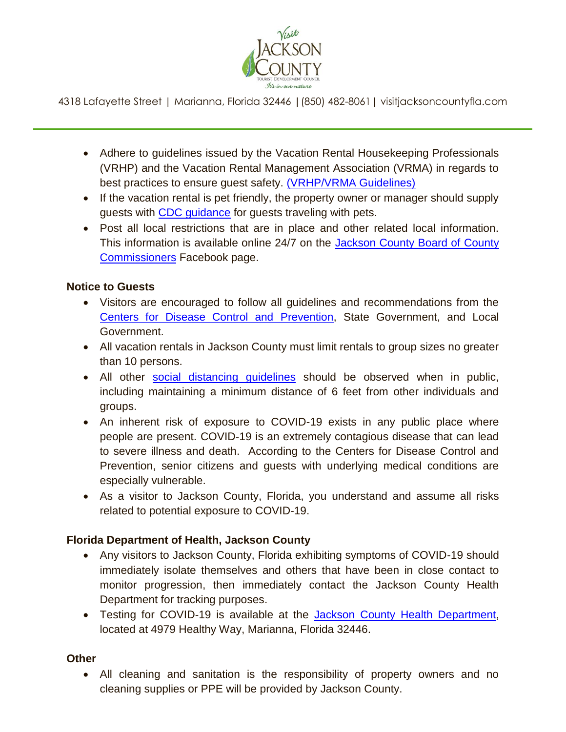

4318 Lafayette Street | Marianna, Florida 32446 |(850) 482-8061| [visitjacksoncountyfla.com](https://visitjacksoncountyfla.com)

- Adhere to guidelines issued by the Vacation Rental Housekeeping Professionals (VRHP) and the Vacation Rental Management Association (VRMA) in regards to best practices to ensure guest safety. [\(VRHP/VRMA Guidelines\)](file:///C:/Users/admin/Downloads/VRHP-VRMA%20Cleaning%20Guidelines%20for%20COVID-19.pdf)
- If the vacation rental is pet friendly, the property owner or manager should supply guests with **CDC** guidance for guests traveling with pets.
- Post all local restrictions that are in place and other related local information. This information is available online 24/7 on the Jackson County Board of County [Commissioners](https://www.facebook.com/jacksoncountybocc/) Facebook page.

#### **Notice to Guests**

- Visitors are encouraged to follow all guidelines and recommendations from the [Centers for Disease Control and Prevention,](https://www.cdc.gov/coronavirus/2019-ncov/travelers/travel-in-the-us.html#lodging) State Government, and Local Government.
- All vacation rentals in Jackson County must limit rentals to group sizes no greater than 10 persons.
- All other [social distancing guidelines](https://www.cdc.gov/coronavirus/2019-ncov/prevent-getting-sick/social-distancing.html) should be observed when in public, including maintaining a minimum distance of 6 feet from other individuals and groups.
- An inherent risk of exposure to COVID-19 exists in any public place where people are present. COVID-19 is an extremely contagious disease that can lead to severe illness and death. According to the Centers for Disease Control and Prevention, senior citizens and guests with underlying medical conditions are especially vulnerable.
- As a visitor to Jackson County, Florida, you understand and assume all risks related to potential exposure to COVID-19.

## **Florida Department of Health, Jackson County**

- Any visitors to Jackson County, Florida exhibiting symptoms of COVID-19 should immediately isolate themselves and others that have been in close contact to monitor progression, then immediately contact the Jackson County Health Department for tracking purposes.
- Testing for COVID-19 is available at the [Jackson County Health Department,](http://jackson.floridahealth.gov/) located at 4979 Healthy Way, Marianna, Florida 32446.

#### **Other**

 All cleaning and sanitation is the responsibility of property owners and no cleaning supplies or PPE will be provided by Jackson County.